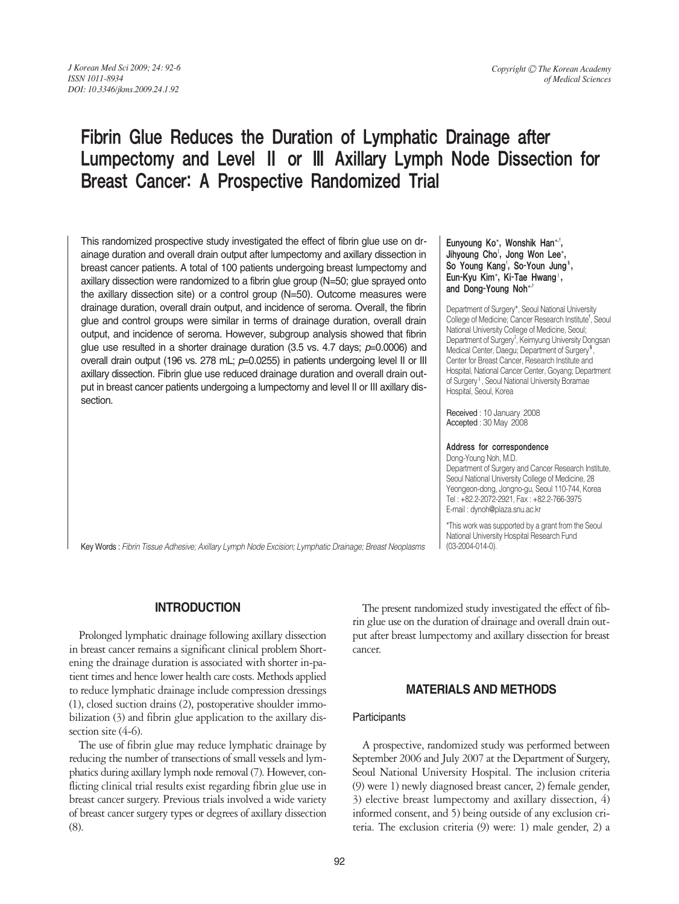# Fibrin Glue Reduces the Duration of Lymphatic Drainage after Lumpectomy and Level Ⅱ or Ⅲ Axillary Lymph Node Dissection for Breast Cancer: A Prospective Randomized Trial

This randomized prospective study investigated the effect of fibrin glue use on drainage duration and overall drain output after lumpectomy and axillary dissection in breast cancer patients. A total of 100 patients undergoing breast lumpectomy and axillary dissection were randomized to a fibrin glue group (N=50; glue sprayed onto the axillary dissection site) or a control group (N=50). Outcome measures were drainage duration, overall drain output, and incidence of seroma. Overall, the fibrin glue and control groups were similar in terms of drainage duration, overall drain output, and incidence of seroma. However, subgroup analysis showed that fibrin glue use resulted in a shorter drainage duration (3.5 vs. 4.7 days; *p*=0.0006) and overall drain output (196 vs. 278 mL; *p*=0.0255) in patients undergoing level II or III axillary dissection. Fibrin glue use reduced drainage duration and overall drain output in breast cancer patients undergoing a lumpectomy and level II or III axillary dissection.

#### Eunyoung Ko\*, Wonshik Han\*<sup>+</sup>, Jihyoung Cho<sup>†</sup>, Jong Won Lee\*, So Young Kang', So-Youn Jung<sup>s</sup>, Eun-Kyu Kim\*, Ki-Tae Hwang‖, and Dong-Young Noh\*<sup>+</sup>

Department of Surgery\*, Seoul National University College of Medicine; Cancer Research Institute<sup>†</sup>, Seoul National University College of Medicine, Seoul; Department of Surgery<sup>†</sup>, Keimyung University Dongsan Medical Center, Daegu; Department of Surgery<sup>§</sup> , Center for Breast Cancer, Research Institute and Hospital, National Cancer Center, Goyang; Department of Surgery<sup>1</sup>, Seoul National University Boramae Hospital, Seoul, Korea

Received : 10 January 2008 Accepted : 30 May 2008

#### Address for correspondence

Dong-Young Noh, M.D. Department of Surgery and Cancer Research Institute, Seoul National University College of Medicine, 28 Yeongeon-dong, Jongno-gu, Seoul 110-744, Korea Tel : +82.2-2072-2921, Fax : +82.2-766-3975 E-mail : dynoh@plaza.snu.ac.kr

\*This work was supported by a grant from the Seoul National University Hospital Research Fund (03-2004-014-0).

Key Words : *Fibrin Tissue Adhesive; Axillary Lymph Node Excision; Lymphatic Drainage; Breast Neoplasms*

# **INTRODUCTION**

Prolonged lymphatic drainage following axillary dissection in breast cancer remains a significant clinical problem Shortening the drainage duration is associated with shorter in-patient times and hence lower health care costs. Methods applied to reduce lymphatic drainage include compression dressings (1), closed suction drains (2), postoperative shoulder immobilization (3) and fibrin glue application to the axillary dissection site  $(4-6)$ .

The use of fibrin glue may reduce lymphatic drainage by reducing the number of transections of small vessels and lymphatics during axillary lymph node removal (7). However, conflicting clinical trial results exist regarding fibrin glue use in breast cancer surgery. Previous trials involved a wide variety of breast cancer surgery types or degrees of axillary dissection (8).

The present randomized study investigated the effect of fibrin glue use on the duration of drainage and overall drain output after breast lumpectomy and axillary dissection for breast cancer.

# **MATERIALS AND METHODS**

## **Participants**

A prospective, randomized study was performed between September 2006 and July 2007 at the Department of Surgery, Seoul National University Hospital. The inclusion criteria (9) were 1) newly diagnosed breast cancer, 2) female gender, 3) elective breast lumpectomy and axillary dissection, 4) informed consent, and 5) being outside of any exclusion criteria. The exclusion criteria (9) were: 1) male gender, 2) a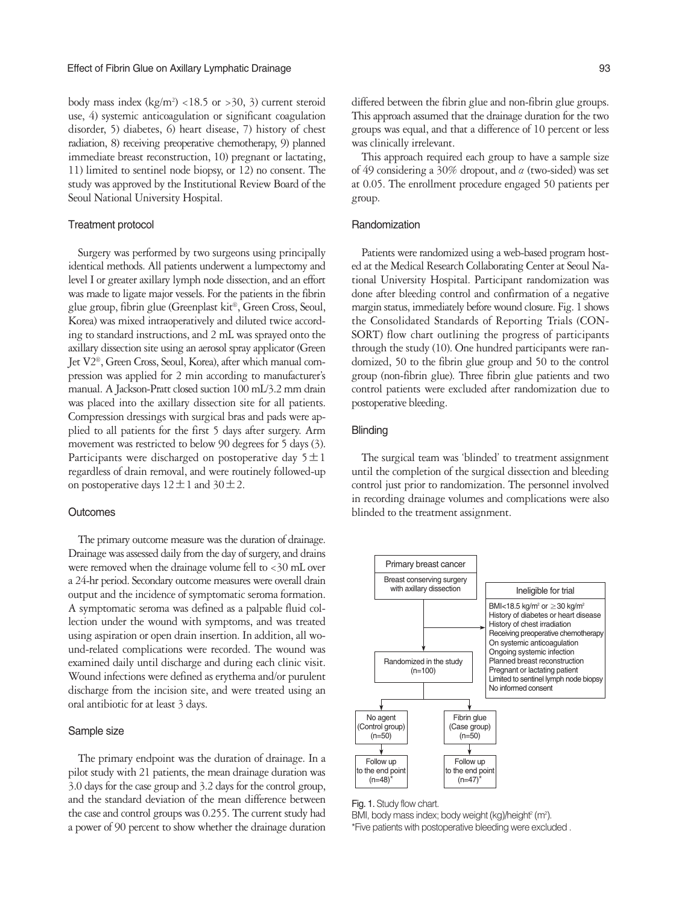body mass index  $(kg/m^2)$  <18.5 or >30, 3) current steroid use, 4) systemic anticoagulation or significant coagulation disorder, 5) diabetes, 6) heart disease, 7) history of chest radiation, 8) receiving preoperative chemotherapy, 9) planned immediate breast reconstruction, 10) pregnant or lactating, 11) limited to sentinel node biopsy, or 12) no consent. The study was approved by the Institutional Review Board of the Seoul National University Hospital.

#### Treatment protocol

Surgery was performed by two surgeons using principally identical methods. All patients underwent a lumpectomy and level I or greater axillary lymph node dissection, and an effort was made to ligate major vessels. For the patients in the fibrin glue group, fibrin glue (Greenplast kit�, Green Cross, Seoul, Korea) was mixed intraoperatively and diluted twice according to standard instructions, and 2 mL was sprayed onto the axillary dissection site using an aerosol spray applicator (Green Jet V2�, Green Cross, Seoul, Korea), after which manual compression was applied for 2 min according to manufacturer's manual. A Jackson-Pratt closed suction 100 mL/3.2 mm drain was placed into the axillary dissection site for all patients. Compression dressings with surgical bras and pads were applied to all patients for the first 5 days after surgery. Arm movement was restricted to below 90 degrees for 5 days (3). Participants were discharged on postoperative day  $5 \pm 1$ regardless of drain removal, and were routinely followed-up on postoperative days  $12 \pm 1$  and  $30 \pm 2$ .

#### **Outcomes**

The primary outcome measure was the duration of drainage. Drainage was assessed daily from the day of surgery, and drains were removed when the drainage volume fell to <30 mL over a 24-hr period. Secondary outcome measures were overall drain output and the incidence of symptomatic seroma formation. A symptomatic seroma was defined as a palpable fluid collection under the wound with symptoms, and was treated using aspiration or open drain insertion. In addition, all wound-related complications were recorded. The wound was examined daily until discharge and during each clinic visit. Wound infections were defined as erythema and/or purulent discharge from the incision site, and were treated using an oral antibiotic for at least 3 days.

#### Sample size

The primary endpoint was the duration of drainage. In a pilot study with 21 patients, the mean drainage duration was 3.0 days for the case group and 3.2 days for the control group, and the standard deviation of the mean difference between the case and control groups was 0.255. The current study had a power of 90 percent to show whether the drainage duration

differed between the fibrin glue and non-fibrin glue groups. This approach assumed that the drainage duration for the two groups was equal, and that a difference of 10 percent or less was clinically irrelevant.

This approach required each group to have a sample size of 49 considering a 30% dropout, and  $\alpha$  (two-sided) was set at 0.05. The enrollment procedure engaged 50 patients per group.

#### Randomization

Patients were randomized using a web-based program hosted at the Medical Research Collaborating Center at Seoul National University Hospital. Participant randomization was done after bleeding control and confirmation of a negative margin status, immediately before wound closure. Fig. 1 shows the Consolidated Standards of Reporting Trials (CON-SORT) flow chart outlining the progress of participants through the study (10). One hundred participants were randomized, 50 to the fibrin glue group and 50 to the control group (non-fibrin glue). Three fibrin glue patients and two control patients were excluded after randomization due to postoperative bleeding.

#### **Blinding**

The surgical team was 'blinded' to treatment assignment until the completion of the surgical dissection and bleeding control just prior to randomization. The personnel involved in recording drainage volumes and complications were also blinded to the treatment assignment.



Fig. 1. Study flow chart. BMI, body mass index; body weight (kg)/height $^2$  (m<sup>2</sup>). \*Five patients with postoperative bleeding were excluded .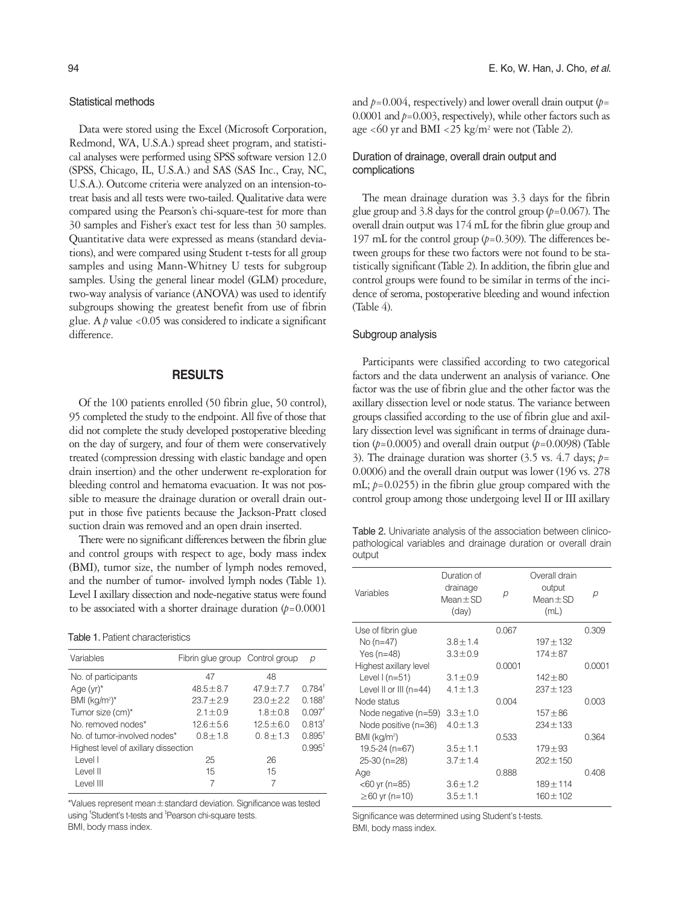## Statistical methods

Data were stored using the Excel (Microsoft Corporation, Redmond, WA, U.S.A.) spread sheet program, and statistical analyses were performed using SPSS software version 12.0 (SPSS, Chicago, IL, U.S.A.) and SAS (SAS Inc., Cray, NC, U.S.A.). Outcome criteria were analyzed on an intension-totreat basis and all tests were two-tailed. Qualitative data were compared using the Pearson's chi-square-test for more than 30 samples and Fisher's exact test for less than 30 samples. Quantitative data were expressed as means (standard deviations), and were compared using Student t-tests for all group samples and using Mann-Whitney U tests for subgroup samples. Using the general linear model (GLM) procedure, two-way analysis of variance (ANOVA) was used to identify subgroups showing the greatest benefit from use of fibrin glue. A *p* value <0.05 was considered to indicate a significant difference.

## **RESULTS**

Of the 100 patients enrolled (50 fibrin glue, 50 control), 95 completed the study to the endpoint. All five of those that did not complete the study developed postoperative bleeding on the day of surgery, and four of them were conservatively treated (compression dressing with elastic bandage and open drain insertion) and the other underwent re-exploration for bleeding control and hematoma evacuation. It was not possible to measure the drainage duration or overall drain output in those five patients because the Jackson-Pratt closed suction drain was removed and an open drain inserted.

There were no significant differences between the fibrin glue and control groups with respect to age, body mass index (BMI), tumor size, the number of lymph nodes removed, and the number of tumor- involved lymph nodes (Table 1). Level I axillary dissection and node-negative status were found to be associated with a shorter drainage duration  $(p=0.0001)$ 

|  | <b>Table 1.</b> Patient characteristics |  |
|--|-----------------------------------------|--|
|  |                                         |  |

| Variables                            | Fibrin glue group Control group |                | р                    |
|--------------------------------------|---------------------------------|----------------|----------------------|
| No. of participants                  | 47                              | 48             |                      |
| Age $(yr)^*$                         | $48.5 \pm 8.7$                  | $47.9 \pm 7.7$ | $0.784^{\dagger}$    |
| BMI $(kg/m2)*$                       | $23.7 + 2.9$                    | $230 + 22$     | $0.188^{\dagger}$    |
| Tumor size (cm)*                     | $2.1 \pm 0.9$                   | $1.8 \pm 0.8$  | $0.097$ <sup>t</sup> |
| No removed nodes*                    | $12.6 \pm 5.6$                  | $12.5 \pm 6.0$ | $0.813^{\dagger}$    |
| No. of tumor-involved nodes*         | $0.8 \pm 1.8$                   | $0.8 \pm 1.3$  | $0.895^{\dagger}$    |
| Highest level of axillary dissection |                                 |                | $0.995^{\ddagger}$   |
| Level I                              | 25                              | 26             |                      |
| Level II                             | 15                              | 15             |                      |
| Level III                            |                                 |                |                      |

\*Values represent mean±standard deviation. Significance was tested using <sup>†</sup>Student's t-tests and <sup>‡</sup>Pearson chi-square tests. BMI, body mass index.

and  $p=0.004$ , respectively) and lower overall drain output  $(p=$ 0.0001 and  $p=0.003$ , respectively), while other factors such as age <60 yr and BMI <25 kg/m<sup>2</sup> were not (Table 2).

## Duration of drainage, overall drain output and complications

The mean drainage duration was 3.3 days for the fibrin glue group and 3.8 days for the control group  $(p=0.067)$ . The overall drain output was 174 mL for the fibrin glue group and 197 mL for the control group (*p*=0.309). The differences between groups for these two factors were not found to be statistically significant (Table 2). In addition, the fibrin glue and control groups were found to be similar in terms of the incidence of seroma, postoperative bleeding and wound infection (Table 4).

## Subgroup analysis

Participants were classified according to two categorical factors and the data underwent an analysis of variance. One factor was the use of fibrin glue and the other factor was the axillary dissection level or node status. The variance between groups classified according to the use of fibrin glue and axillary dissection level was significant in terms of drainage duration  $(p=0.0005)$  and overall drain output  $(p=0.0098)$  (Table 3). The drainage duration was shorter (3.5 vs. 4.7 days; *p*= 0.0006) and the overall drain output was lower (196 vs. 278 mL; *p*=0.0255) in the fibrin glue group compared with the control group among those undergoing level II or III axillary

Table 2. Univariate analysis of the association between clinicopathological variables and drainage duration or overall drain output

| Variables                  | Duration of<br>drainage<br>Mean $\pm$ SD<br>(day) | р      | Overall drain<br>output<br>Mean $\pm$ SD<br>(mL) | р      |
|----------------------------|---------------------------------------------------|--------|--------------------------------------------------|--------|
| Use of fibrin glue         |                                                   | 0.067  |                                                  | 0.309  |
| No (n=47)                  | $3.8 \pm 1.4$                                     |        | $197 + 132$                                      |        |
| Yes $(n=48)$               | $3.3 \pm 0.9$                                     |        | $174 + 87$                                       |        |
| Highest axillary level     |                                                   | 0.0001 |                                                  | 0.0001 |
| Level $1(n=51)$            | $3.1 \pm 0.9$                                     |        | $142 + 80$                                       |        |
| Level II or III $(n=44)$   | $4.1 \pm 1.3$                                     |        | $237 \pm 123$                                    |        |
| Node status                |                                                   | 0.004  |                                                  | 0.003  |
| Node negative (n=59)       | $3.3 \pm 1.0$                                     |        | $157 + 86$                                       |        |
| Node positive (n=36)       | $4.0 \pm 1.3$                                     |        | $234 \pm 133$                                    |        |
| $BMI$ (kg/m <sup>2</sup> ) |                                                   | 0.533  |                                                  | 0.364  |
| 19.5-24 (n=67)             | $3.5 \pm 1.1$                                     |        | $179 + 93$                                       |        |
| 25-30 (n=28)               | $3.7 \pm 1.4$                                     |        | $202 \pm 150$                                    |        |
| Age                        |                                                   | 0.888  |                                                  | 0.408  |
| <60 yr (n=85)              | $3.6 \pm 1.2$                                     |        | $189 + 114$                                      |        |
| ≥60 yr (n=10)              | $3.5 \pm 1.1$                                     |        | $160 \pm 102$                                    |        |
|                            |                                                   |        |                                                  |        |

Significance was determined using Student's t-tests. BMI, body mass index.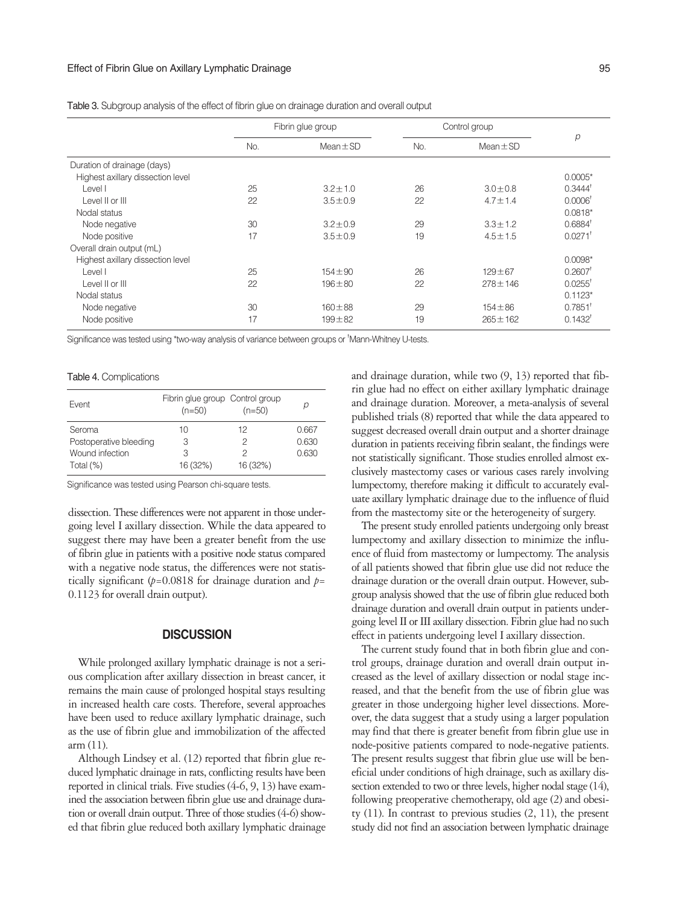|                                   | Fibrin glue group |               | Control group |               |                       |
|-----------------------------------|-------------------|---------------|---------------|---------------|-----------------------|
|                                   | No.               | $Mean \pm SD$ | No.           | $Mean \pm SD$ | р                     |
| Duration of drainage (days)       |                   |               |               |               |                       |
| Highest axillary dissection level |                   |               |               |               | $0.0005*$             |
| Level I                           | 25                | $3.2 \pm 1.0$ | 26            | $3.0 \pm 0.8$ | $0.3444^{\dagger}$    |
| Level II or III                   | 22                | $3.5 \pm 0.9$ | 22            | $4.7 \pm 1.4$ | $0.0006$ <sup>t</sup> |
| Nodal status                      |                   |               |               |               | $0.0818*$             |
| Node negative                     | 30                | $3.2 \pm 0.9$ | 29            | $3.3 \pm 1.2$ | $0.6884$ <sup>t</sup> |
| Node positive                     | 17                | $3.5 \pm 0.9$ | 19            | $4.5 \pm 1.5$ | $0.0271$ <sup>+</sup> |
| Overall drain output (mL)         |                   |               |               |               |                       |
| Highest axillary dissection level |                   |               |               |               | $0.0098*$             |
| Level I                           | 25                | $154 \pm 90$  | 26            | $129 + 67$    | $0.2607$ <sup>t</sup> |
| Level II or III                   | 22                | $196 + 80$    | 22            | $278 \pm 146$ | $0.0255^{\dagger}$    |
| Nodal status                      |                   |               |               |               | $0.1123*$             |
| Node negative                     | 30                | $160 + 88$    | 29            | $154 \pm 86$  | $0.7851$ <sup>1</sup> |
| Node positive                     | 17                | $199 + 82$    | 19            | $265 \pm 162$ | $0.1432$ <sup>t</sup> |

Table 3. Subgroup analysis of the effect of fibrin glue on drainage duration and overall output

Significance was tested using \*two-way analysis of variance between groups or <sup>†</sup>Mann-Whitney U-tests.

#### Table 4. Complications

| Event                  | Fibrin glue group Control group<br>$(n=50)$ | $(n=50)$ | D     |
|------------------------|---------------------------------------------|----------|-------|
| Seroma                 | 10                                          | 12       | 0.667 |
| Postoperative bleeding | 3                                           | 2        | 0.630 |
| Wound infection        | 3                                           | 2        | 0.630 |
| Total $(\%)$           | 16 (32%)                                    | 16 (32%) |       |

Significance was tested using Pearson chi-square tests.

dissection. These differences were not apparent in those undergoing level I axillary dissection. While the data appeared to suggest there may have been a greater benefit from the use of fibrin glue in patients with a positive node status compared with a negative node status, the differences were not statistically significant  $(p=0.0818)$  for drainage duration and  $p=$ 0.1123 for overall drain output).

#### **DISCUSSION**

While prolonged axillary lymphatic drainage is not a serious complication after axillary dissection in breast cancer, it remains the main cause of prolonged hospital stays resulting in increased health care costs. Therefore, several approaches have been used to reduce axillary lymphatic drainage, such as the use of fibrin glue and immobilization of the affected arm (11).

Although Lindsey et al. (12) reported that fibrin glue reduced lymphatic drainage in rats, conflicting results have been reported in clinical trials. Five studies (4-6, 9, 13) have examined the association between fibrin glue use and drainage duration or overall drain output. Three of those studies (4-6) showed that fibrin glue reduced both axillary lymphatic drainage and drainage duration, while two (9, 13) reported that fibrin glue had no effect on either axillary lymphatic drainage and drainage duration. Moreover, a meta-analysis of several published trials (8) reported that while the data appeared to suggest decreased overall drain output and a shorter drainage duration in patients receiving fibrin sealant, the findings were not statistically significant. Those studies enrolled almost exclusively mastectomy cases or various cases rarely involving lumpectomy, therefore making it difficult to accurately evaluate axillary lymphatic drainage due to the influence of fluid from the mastectomy site or the heterogeneity of surgery.

The present study enrolled patients undergoing only breast lumpectomy and axillary dissection to minimize the influence of fluid from mastectomy or lumpectomy. The analysis of all patients showed that fibrin glue use did not reduce the drainage duration or the overall drain output. However, subgroup analysis showed that the use of fibrin glue reduced both drainage duration and overall drain output in patients undergoing level II or III axillary dissection. Fibrin glue had no such effect in patients undergoing level I axillary dissection.

The current study found that in both fibrin glue and control groups, drainage duration and overall drain output increased as the level of axillary dissection or nodal stage increased, and that the benefit from the use of fibrin glue was greater in those undergoing higher level dissections. Moreover, the data suggest that a study using a larger population may find that there is greater benefit from fibrin glue use in node-positive patients compared to node-negative patients. The present results suggest that fibrin glue use will be beneficial under conditions of high drainage, such as axillary dissection extended to two or three levels, higher nodal stage (14), following preoperative chemotherapy, old age (2) and obesity (11). In contrast to previous studies (2, 11), the present study did not find an association between lymphatic drainage